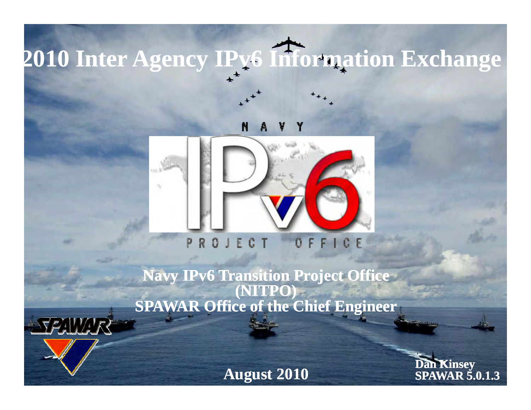# **2010 Inter Agency IPv6 Information Exchange**

#### N



### **Navy j IPv6 Transition Project Office (NITPO) SPAWAR Office of the Chief Engineer**

SPAWAR

**August 2010 Dan Kinsey**<br>SPAWAR 5.0.1.3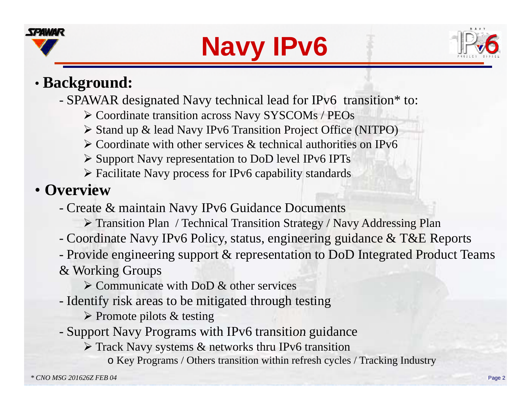





# • **Background:**

SPAWAR designated Navy technical lead for IPv6 transition\* to:

- ¾ Coordinate transition across Navy SYSCOMs / PEOs
- ≻ Stand up & lead Navy IPv6 Transition Project Office (NITPO)
- $\triangleright$  Coordinate with other services & technical authorities on IPv6
- ¾ Support Navy representation to DoD level IPv6 IPTs
- $\triangleright$  Facilitate Navy process for IPv6 capability standards

# • **Overview**

- Create & maintain Navy IPv6 Guidance Documents
	- ¾ Transition Plan / Technical Transition Strategy / Navy Addressing Plan
- Coordinate Navy IPv6 Policy, status, engineering guidance & T&E Reports
- Provide engineering support & representation to DoD Integrated Product Teams

#### & Working Groups

- $\triangleright$  Communicate with DoD & other services
- Identify risk areas to be mitigated through testing
	- $\triangleright$  Promote pilots & testing
- Support Navy Programs with IPv6 transition guidance
	- $\triangleright$  Track Navy systems & networks thru IPv6 transition
		- o Key Programs / Others transition within refresh cycles / Tracking Industry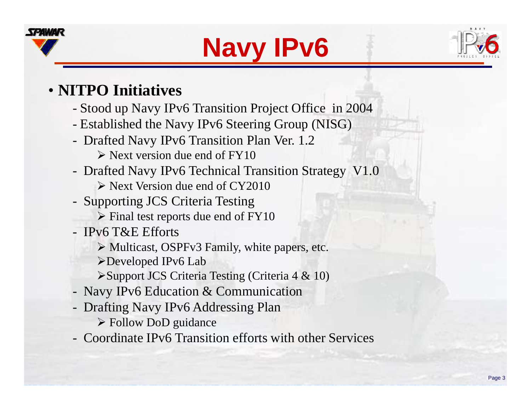





## • **NITPO Initiatives**

- -Stood up Navy IPv6 Transition Project Office in 2004
- -Established the Navy IPv6 Steering Group (NISG)
- - Drafted Navy IPv6 Transition Plan Ver. 1.2  $\triangleright$  Next version due end of FY10
- - Drafted Navy IPv6 Technical Transition Strategy V1.0
	- $\triangleright$  Next Version due end of CY2010
- - Supporting JCS Criteria Testing
	- $\triangleright$  Final test reports due end of FY10
- IPv6 T&E Efforts
	- ¾ Multicast, OSPFv3 Family, white papers, etc.
	- ¾Developed IPv6 Lab
	- ¾Support JCS Criteria Testing (Criteria 4 & 10)
- -Navy IPv6 Education & Communication
- - Drafting Navy IPv6 Addressing Plan ¾ Follow DoD guidance
- Coordinate IPv6 Transition efforts with other Services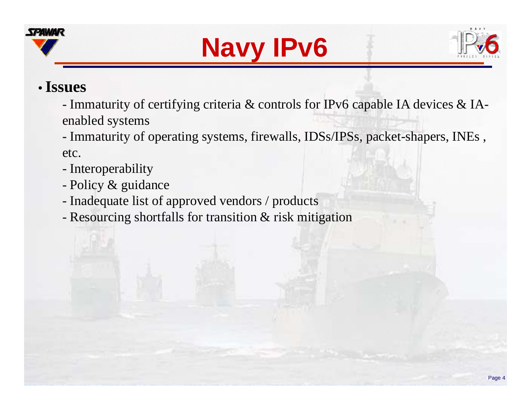





#### •**Issues**

- Immaturity of certifying criteria & controls for IPv6 capable IA devices & IAenabled systems

- Immaturity of operating systems, firewalls, IDSs/IPSs, packet-shapers, INEs , etc.

- -Interoperability
- -Policy & guidance
- -Inadequate list of approved vendors / products
- -Resourcing shortfalls for transition & risk mitigation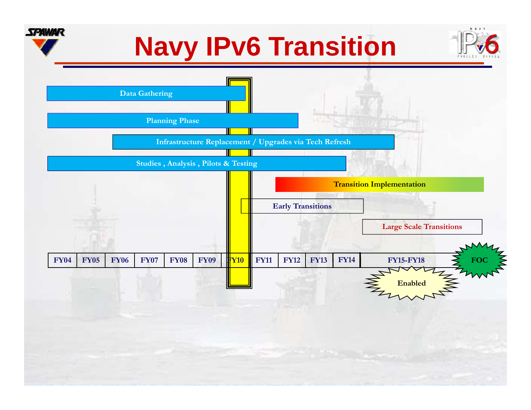